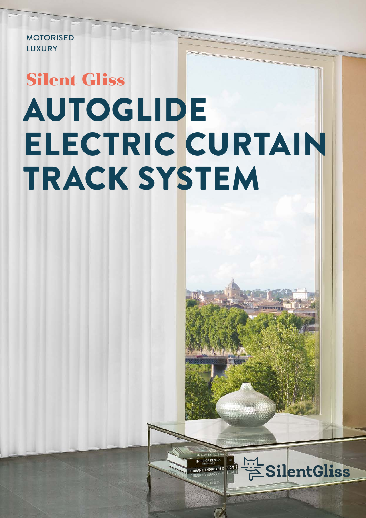MOTORISED LUXURY

# AUTOGLIDE ELECTRIC CURTAIN TRACK SYSTEM **Silent Gliss**

INTERIOR DESIGN

URBAN LANDSCAPE I

SIGN

**SilentGliss**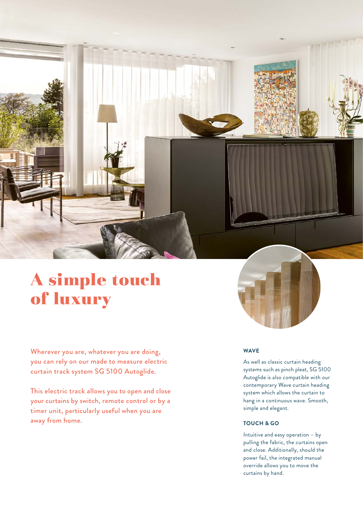

## A simple touch of luxury

Wherever you are, whatever you are doing, you can rely on our made to measure electric curtain track system SG 5100 Autoglide.

This electric track allows you to open and close your curtains by switch, remote control or by a timer unit, particularly useful when you are away from home.

### **WAVE**

As well as classic curtain heading systems such as pinch pleat, SG 5100 Autoglide is also compatible with our contemporary Wave curtain heading system which allows the curtain to hang in a continuous wave. Smooth, simple and elegant.

#### **TOUCH & GO**

Intuitive and easy operation – by pulling the fabric, the curtains open and close. Additionally, should the power fail, the integrated manual override allows you to move the curtains by hand.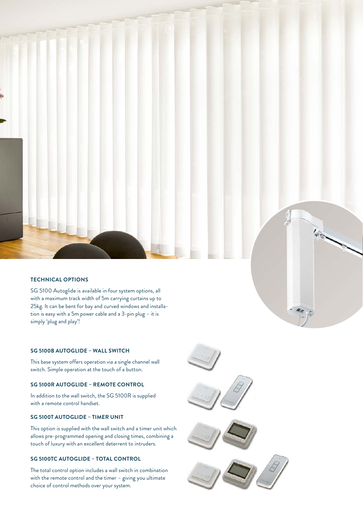#### **TECHNICAL OPTIONS**

SG 5100 Autoglide is available in four system options, all with a maximum track width of 5m carrying curtains up to 25kg. It can be bent for bay and curved windows and installation is easy with a 5m power cable and a 3-pin plug – it is simply 'plug and play'!

#### **SG 5100B AUTOGLIDE – WALL SWITCH**

This base system offers operation via a single channel wall switch. Simple operation at the touch of a button.

#### **SG 5100R AUTOGLIDE – REMOTE CONTROL**

In addition to the wall switch, the SG 5100R is supplied with a remote control handset.

#### **SG 5100T AUTOGLIDE – TIMER UNIT**

This option is supplied with the wall switch and a timer unit which allows pre-programmed opening and closing times, combining a touch of luxury with an excellent deterrent to intruders.

#### **SG 5100TC AUTOGLIDE – TOTAL CONTROL**

The total control option includes a wall switch in combination with the remote control and the timer – giving you ultimate choice of control methods over your system.